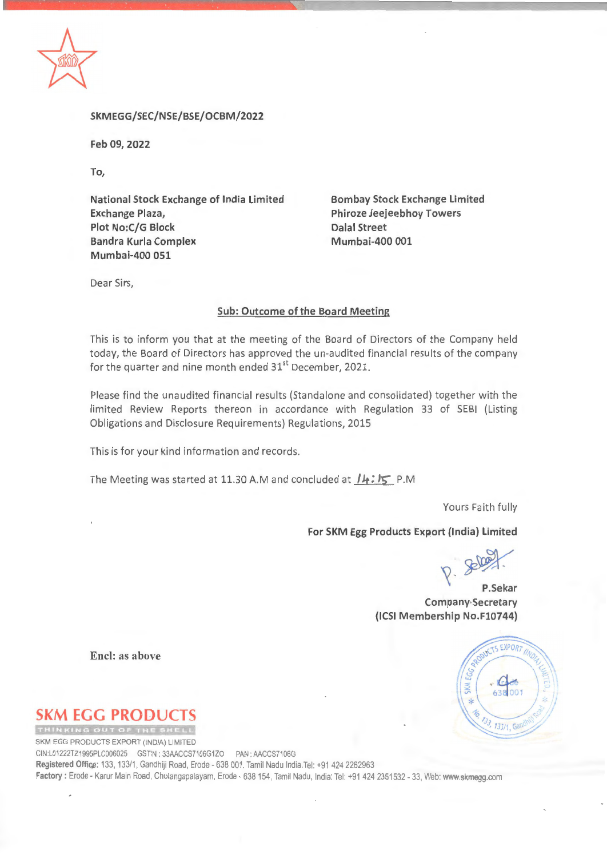

**SKMEGG/SEC/NSE/BSE/OCBM/2022** 

Feb 09, 2022

To,

**National Stock Exchange of India Limited Exchange Plaza, Plot No:C/G Block Bandra Kurla Complex Mumbai-400 051** 

**Bombay Stock Exchange Limited Phiroze Jeejeebhoy Towers Dalal Street Mumbai-400 001** 

Dear Sirs,

## **Sub: Outcome of the Board Meeting**

This is to inform you that at the meeting of the Board of Directors of the Company held today, the Board of Directors has approved the un-audited financial results of the company for the quarter and nine month ended  $31<sup>st</sup>$  December, 2021.

Please find the unaudited financial results (Standalone and consolidated) together with the limited Review Reports thereon in accordance with Regulation 33 of SEBI (Listing Obligations and Disclosure Requirements) Regulations, 2015

This is for your kind information and records.

The Meeting was started at 11.30 A.Mand concluded at **/Jt; IS:** P.M

Yours Faith fully

## **For SKM Egg Products Export (India) Limited**

 $R.$ 

**P.Sekar Company-Secretary (ICSI Membership No.F10744)** 



**Encl: as above** 

**SKM EGG PRODUCTS** 

SKM EGG PRODUCTS EXPORT (INDIA) LIMITED CIN:L01222TZ1995PLC006025 GSTIN : 33AACCS7106G1ZO PAN: AACCS7106G Registered Office: 133, 133/1, Gandhiji Road, Erode - 638 001. Tamil Nadu India.Tel: +91 424 2262963 **Factory:** Erode - Karur Main Road, Cholangapalayam, Erode - 638154, Tamil Nadu, India: Tel: +914242351532 - 33, Web: **www.skmegg.com**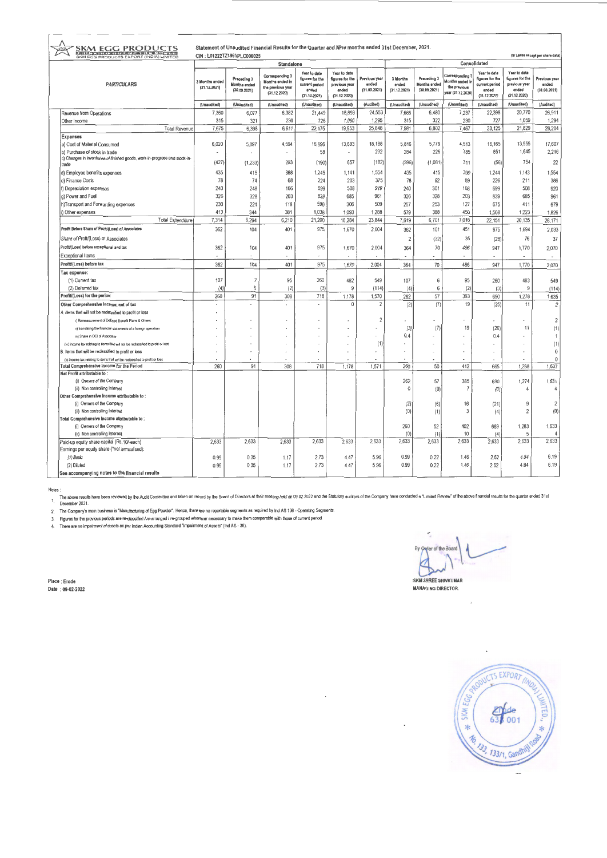| Statement of Unaudited Financial Results for the Quarter and Nine months ended 31st December, 2021.<br><b>SKM EGG PRODUCTS</b><br><b>VE JOA</b> |                                                                                            |                                |                                                    |                                                                         |                                                                            |                                                                           |                                        |                                   |                                                    |                                                                         |                                                                                   |                                                                           |                                        |
|-------------------------------------------------------------------------------------------------------------------------------------------------|--------------------------------------------------------------------------------------------|--------------------------------|----------------------------------------------------|-------------------------------------------------------------------------|----------------------------------------------------------------------------|---------------------------------------------------------------------------|----------------------------------------|-----------------------------------|----------------------------------------------------|-------------------------------------------------------------------------|-----------------------------------------------------------------------------------|---------------------------------------------------------------------------|----------------------------------------|
| SKM EGG PRODUCTS EXPORT (INDIA) LIMITED                                                                                                         |                                                                                            | CIN: L01222TZ1995PLC006025     |                                                    |                                                                         |                                                                            |                                                                           |                                        | (in Lakhs except per share data)  |                                                    |                                                                         |                                                                                   |                                                                           |                                        |
| <b>PARTICULARS</b>                                                                                                                              |                                                                                            | Standalone                     |                                                    |                                                                         |                                                                            |                                                                           |                                        | Consolidated                      |                                                    |                                                                         |                                                                                   |                                                                           |                                        |
|                                                                                                                                                 |                                                                                            | 3 Months ended<br>(31.12.2021) | Preceding 3<br><b>Months</b> ended<br>(30.09.2021) | Corresponding 3<br>Months ended in<br>the previous year<br>(31.12.2020) | Year to date<br>figures for the<br>current period<br>ended<br>(31.12.2021) | Year to date<br>figures for the<br>previous year<br>anded<br>(31.12.2020) | Previous year<br>ended<br>(31.03.2021) | 3 Months<br>ended<br>(31.12.2021) | Preceding 3<br><b>Months</b> ended<br>(30.09.2021) | Corresponding 3<br>Months ended In<br>the previous<br>year (31.12.2020) | Year to date<br><b>figures</b> for the<br>current period<br>ended<br>(31.12.2021) | Year to date<br>figures for the<br>previous year<br>ended<br>(31.12.2020) | Previous year<br>ended<br>(31.03.2021) |
|                                                                                                                                                 |                                                                                            | (Unaudited)                    | (Unaudited)                                        | (Unaudited)                                                             | (Unaudited)                                                                | (Unaudited)                                                               | (Audited)                              | (Unaudited)                       | (Unaudited)                                        | (Unaudited)                                                             | (Unaudited)                                                                       | (Unaudited)                                                               | (Audited)                              |
| Revenue from Operations                                                                                                                         |                                                                                            | 7,360                          | 6,077                                              | 6,382                                                                   | 21,449                                                                     | 18,893                                                                    | 24,553                                 | 7,666                             | 6,480                                              | 7,237                                                                   | 22,398                                                                            | 20,770                                                                    | 26,911                                 |
| Other Income                                                                                                                                    |                                                                                            | 315                            | 321                                                | 230                                                                     | 726                                                                        | 1,060                                                                     | 1,295                                  | 315                               | 322                                                | 230                                                                     | 727                                                                               | 1,059                                                                     | 1,294                                  |
|                                                                                                                                                 | <b>Total Revenue</b>                                                                       | 7,675                          | 6,398                                              | 6,611                                                                   | 22,175                                                                     | 19,953                                                                    | 25,848                                 | 7,981                             | 6,802                                              | 7,467                                                                   | 23,125                                                                            | 21,829                                                                    | 28,204                                 |
| <b>Expenses</b>                                                                                                                                 |                                                                                            |                                |                                                    |                                                                         |                                                                            |                                                                           |                                        |                                   |                                                    |                                                                         |                                                                                   |                                                                           |                                        |
| a) Cost of Material Consumed                                                                                                                    |                                                                                            | 6,020                          | 5,897                                              | 4,594                                                                   | 16,696                                                                     | 13,693                                                                    | 18.188                                 | 5,816                             | 5.779                                              | 4,513                                                                   | 16,165                                                                            | 13.555                                                                    | 17,607                                 |
| b) Purchase of stock in trade                                                                                                                   |                                                                                            |                                |                                                    |                                                                         | 58                                                                         | $\overline{\phantom{a}}$                                                  | 232                                    | 284                               | 226                                                | 785                                                                     | 851                                                                               | 1,645                                                                     | 2,216                                  |
|                                                                                                                                                 | c) Changes in inventories of finished goods, work-in-progress and stock-in-                | (427)                          | (1.233)                                            | 293                                                                     | (190)                                                                      | 657                                                                       | (182)                                  | (396)                             | (1,081)                                            | 311                                                                     | (56)                                                                              | 754                                                                       | 22                                     |
| trade                                                                                                                                           |                                                                                            |                                |                                                    |                                                                         |                                                                            |                                                                           |                                        |                                   |                                                    |                                                                         |                                                                                   |                                                                           |                                        |
| d) Employee benefits expenses                                                                                                                   |                                                                                            | 435                            | 415                                                | 388                                                                     | 1,245                                                                      | 1,141                                                                     | 1,554                                  | 435                               | 415                                                | 390                                                                     | 1,244                                                                             | 1,143                                                                     | 1,554                                  |
| e) Finance Costs                                                                                                                                |                                                                                            | 78                             | 74                                                 | 68                                                                      | 224                                                                        | 203                                                                       | 375                                    | 78                                | 92                                                 | 69                                                                      | 226                                                                               | 211                                                                       | 386                                    |
| f) Depreciation expenses                                                                                                                        |                                                                                            | 240                            | 248                                                | 166                                                                     | 699                                                                        | 508                                                                       | 919                                    | 240                               | 301                                                | 166                                                                     | 699                                                                               | 508                                                                       | 920                                    |
| q) Power and Fuel                                                                                                                               |                                                                                            | 326                            | 328                                                | 203                                                                     | 839                                                                        | 685                                                                       | 961                                    | 326                               | 328                                                | 203                                                                     | 839                                                                               | 685                                                                       | 961                                    |
|                                                                                                                                                 | h)Transport and Forwarding expenses                                                        | 230                            | 221                                                | 118                                                                     | 590                                                                        | 306                                                                       | 509                                    | 257                               | 253                                                | 127                                                                     | 675                                                                               | 411                                                                       | 679                                    |
| i) Other expenses                                                                                                                               |                                                                                            | 413                            | 344                                                | 381                                                                     | 1.038                                                                      | 1.093                                                                     | 1.288                                  | 579                               | 388                                                | 450                                                                     | 1.508                                                                             | 1,223                                                                     | 1,826                                  |
|                                                                                                                                                 | <b>Total Expenditure</b>                                                                   | 7,314                          | 6,294                                              | 6,210                                                                   | 21,200                                                                     | 18,284                                                                    | 23,844                                 | 7,619                             | 6,701                                              | 7,016                                                                   | 22,151                                                                            | 20,135                                                                    | 26,171                                 |
|                                                                                                                                                 | Profit Before Share of Proft/(Loes) of Associates                                          | 362                            | 104                                                | 401                                                                     | 975                                                                        | 1,670                                                                     | 2,004                                  | 362                               | 101                                                | 451                                                                     | 975                                                                               | 1,694                                                                     | 2,033                                  |
|                                                                                                                                                 | Share of Proft/(Loss) of Associates                                                        |                                |                                                    |                                                                         |                                                                            |                                                                           |                                        | 2                                 | (32)                                               | 35                                                                      | (28)                                                                              | 76                                                                        | 37                                     |
|                                                                                                                                                 | Profit/(Loss) before exceptional and tax                                                   |                                |                                                    |                                                                         |                                                                            |                                                                           |                                        |                                   |                                                    |                                                                         |                                                                                   |                                                                           |                                        |
|                                                                                                                                                 |                                                                                            | 362                            | 104                                                | 401                                                                     | 975                                                                        | 1.670                                                                     | 2,004                                  | 364                               | 70                                                 | 486                                                                     | 947                                                                               | 1,770                                                                     | 2,070                                  |
| <b>Exceptional Items</b>                                                                                                                        |                                                                                            |                                |                                                    |                                                                         |                                                                            |                                                                           |                                        |                                   |                                                    |                                                                         |                                                                                   |                                                                           |                                        |
| Profit/(Loss) before tax                                                                                                                        |                                                                                            | 362                            | 104                                                | 401                                                                     | 975                                                                        | 1,670                                                                     | 2.004                                  | 364                               | 70                                                 | 486                                                                     | 947                                                                               | 1,770                                                                     | 2,070                                  |
| Tax expense:                                                                                                                                    |                                                                                            |                                |                                                    |                                                                         |                                                                            |                                                                           |                                        |                                   |                                                    |                                                                         |                                                                                   |                                                                           |                                        |
| (1) Current tax                                                                                                                                 |                                                                                            | 107                            | $\overline{7}$                                     | 95                                                                      | 260                                                                        | 482                                                                       | 549                                    | 107                               | 6                                                  | 95                                                                      | 260                                                                               | 483                                                                       | 549                                    |
| (2) Deferred tax                                                                                                                                |                                                                                            | (4)                            | $6\,$                                              | (2)                                                                     | (3)                                                                        | 9                                                                         | (114)                                  | (4)                               | 6                                                  | (2)                                                                     | (3)                                                                               | 9                                                                         | (114)                                  |
| Profit/(Loss) for the period                                                                                                                    |                                                                                            | 260                            | 91                                                 | 308                                                                     | 718                                                                        | 1,178                                                                     | 1,570                                  | 262                               | 57                                                 | 393                                                                     | 690                                                                               | 1,278                                                                     | 1,635                                  |
|                                                                                                                                                 | Other Comprehensive Income, net of tax                                                     | ä,                             | ä,                                                 |                                                                         | $\overline{\phantom{a}}$                                                   | $\Omega$                                                                  | $\overline{\mathbf{2}}$                | (2)                               | (7)                                                | 19                                                                      | (25)                                                                              | 11                                                                        | $\overline{c}$                         |
|                                                                                                                                                 | A. Items that will not be reclassified to profit or loss                                   |                                |                                                    |                                                                         |                                                                            |                                                                           |                                        |                                   |                                                    |                                                                         |                                                                                   |                                                                           |                                        |
|                                                                                                                                                 | I) Remeasurement of Defined Benefit Plans & Others                                         |                                |                                                    |                                                                         |                                                                            |                                                                           | $\overline{2}$                         |                                   |                                                    |                                                                         |                                                                                   |                                                                           | $\sqrt{2}$                             |
|                                                                                                                                                 | ii) translating the financial statements of a foreign operation                            |                                |                                                    |                                                                         |                                                                            |                                                                           | $\overline{a}$                         | (3)                               | (7)                                                | 19                                                                      | (26)                                                                              | 11                                                                        | (1)                                    |
|                                                                                                                                                 | iii) Share in OCI of Associate                                                             |                                |                                                    |                                                                         |                                                                            |                                                                           |                                        | 0.4                               |                                                    |                                                                         | 0.4                                                                               |                                                                           | 1                                      |
|                                                                                                                                                 | (w) Income lax relating to items that will not be reclassified to profit or loss           |                                |                                                    |                                                                         |                                                                            |                                                                           | (1)                                    |                                   |                                                    |                                                                         |                                                                                   |                                                                           | (1)                                    |
|                                                                                                                                                 | B. Items that will be reclassified to profit or loss                                       |                                |                                                    |                                                                         |                                                                            |                                                                           | ×.                                     |                                   |                                                    |                                                                         |                                                                                   |                                                                           | $\,0\,$                                |
|                                                                                                                                                 | (ii) Income lax relating to items that will be reclassified to profit or loss              |                                |                                                    |                                                                         |                                                                            |                                                                           |                                        |                                   |                                                    |                                                                         |                                                                                   |                                                                           | 0                                      |
|                                                                                                                                                 | Total Comprehensive Income for the Period                                                  | 260                            | 91                                                 | 308                                                                     | 718                                                                        | 1.178                                                                     | 1.571                                  | 260                               | 50                                                 | 412                                                                     | 665                                                                               | 1.288                                                                     | 1,637                                  |
| Net Profit attributable to:                                                                                                                     |                                                                                            |                                |                                                    |                                                                         |                                                                            |                                                                           |                                        |                                   |                                                    |                                                                         |                                                                                   |                                                                           |                                        |
|                                                                                                                                                 | (i) Owners of the Company                                                                  |                                |                                                    |                                                                         |                                                                            |                                                                           |                                        | 262                               | 57                                                 | 385                                                                     | 690                                                                               | 1,274                                                                     | 1,631                                  |
|                                                                                                                                                 | (ii) Non controlling Interest                                                              |                                |                                                    |                                                                         |                                                                            |                                                                           |                                        | 0                                 | (0)                                                | 7                                                                       | (0)                                                                               |                                                                           | 4                                      |
|                                                                                                                                                 | Other Comprehensive Income attributable to:                                                |                                |                                                    |                                                                         |                                                                            |                                                                           |                                        |                                   |                                                    |                                                                         |                                                                                   |                                                                           |                                        |
|                                                                                                                                                 | (i) Owners of the Company                                                                  |                                |                                                    |                                                                         |                                                                            |                                                                           |                                        | (2)                               | (6)                                                | 16                                                                      | (21)                                                                              | 9                                                                         | $\overline{2}$                         |
|                                                                                                                                                 | (ii) Non controlling Interest                                                              |                                |                                                    |                                                                         |                                                                            |                                                                           |                                        | (0)                               | (1)                                                | 3                                                                       | (4)                                                                               | $\overline{2}$                                                            | (0)                                    |
|                                                                                                                                                 | Total Comprehensive Income attributable to:                                                |                                |                                                    |                                                                         |                                                                            |                                                                           |                                        |                                   |                                                    |                                                                         |                                                                                   |                                                                           |                                        |
|                                                                                                                                                 | (i) Owners of the Company                                                                  |                                |                                                    |                                                                         |                                                                            |                                                                           |                                        | 260                               | 52                                                 | 402<br>10                                                               | 669                                                                               | 1,283<br>5                                                                | 1,633                                  |
|                                                                                                                                                 | (ii) Non controlling Interest                                                              | 2,633                          |                                                    | 2,633                                                                   | 2,633                                                                      | 2.633                                                                     | 2.633                                  | (0)<br>2.633                      | (1)<br>2,633                                       | 2,633                                                                   | (4)<br>2,633                                                                      | 2,633                                                                     | 2,633                                  |
|                                                                                                                                                 | Paid-up equity share capital (Rs.10/-each)<br>Earnings per equity share (*not annualised): |                                | 2,633                                              |                                                                         |                                                                            |                                                                           |                                        |                                   |                                                    |                                                                         |                                                                                   |                                                                           |                                        |
| (1) Basic                                                                                                                                       |                                                                                            |                                | 0.35                                               |                                                                         | 2.73                                                                       | 4.47                                                                      | 5.96                                   | 0.99                              | 0.22                                               | 1.46                                                                    | 2.62                                                                              | 4.84                                                                      | 6.19                                   |
|                                                                                                                                                 |                                                                                            | 0.99                           |                                                    | 1.17                                                                    | 2.73                                                                       | 4.47                                                                      | 5.96                                   | 0.99                              | 0.22                                               | 1.46                                                                    | 2.62                                                                              | 4.84                                                                      | 6.19                                   |
| (2) Diluted<br>See accompanying notes to the financial results                                                                                  |                                                                                            | 0.99                           | 0.35                                               | 1.17                                                                    |                                                                            |                                                                           |                                        |                                   |                                                    |                                                                         |                                                                                   |                                                                           |                                        |
|                                                                                                                                                 |                                                                                            |                                |                                                    |                                                                         |                                                                            |                                                                           |                                        |                                   |                                                    |                                                                         |                                                                                   |                                                                           |                                        |

Notes :<br>"The above results have been reviewed by the Audit Committee and taken on record by the Board of Directors at their meeting held on 09.02.2022 and the Statulory auditors of the Company heve conducted a "Umited Revi

By Order of the Board | 1 **SKM** SHREE SHIVKUMAR MANAGING DIRECTOR

Place : Erode<br>Date : 09-02-2022

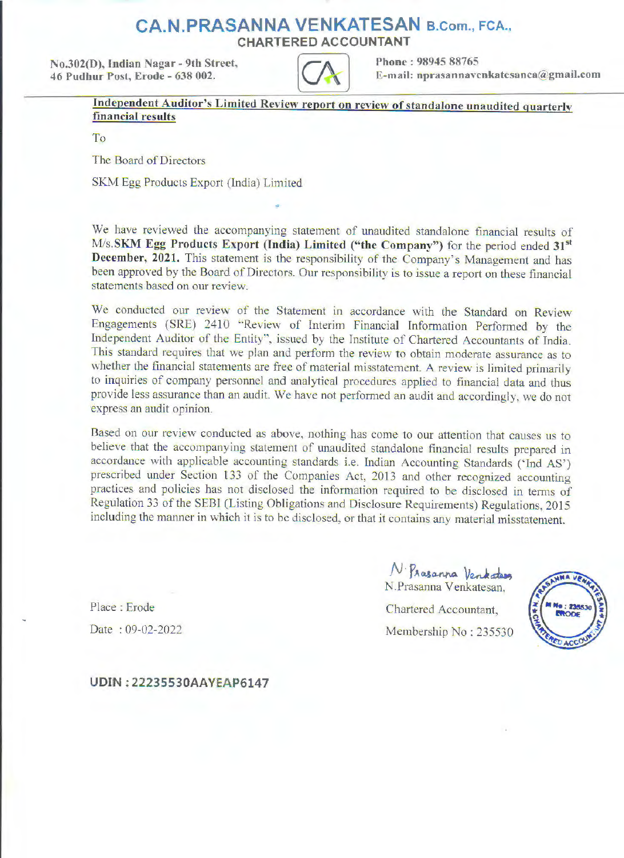## **CA.N.PRASANNA VENKATESAN** B.Com., FCA.,

CHARTERED **ACCOUNTANT** 

No.302(O). Indian Nagar - 9th Street. 46 Pudhur Post, Erode - 638 002.



E-mail: **nprasannavenkatesanca@gmail.com** 

<sup>2</sup> Phone : 98945 88765<br> **Independent Auditor's Limited Review report on review of standalone unaudited quarterly<br>
<b>Independent Auditor's Limited Review report on review of standalone unaudited quarterly financial results** 

To

The Board of Directors

SKM Egg Products Export (India) Limited

We have reviewed the accompanying statement of unaudited standalone financial results of **M/s.SKM Egg Products Export (India) Limited ("the Company")** for the period ended 31<sup>st</sup> **December, 2021.** This statement is the responsibility of the Company's Management and has been approved by the Board of Directors. Our responsibility is to issue a report on these financial statements based on our review.

We conducted our review of the Statement in accordance with the Standard on Review Engagements (SRE) 2410 "Review of Interim Financial Information Performed by the Independent Auditor of the Entity", issued by the Institute of Chartered Accountants of India. This standard requires that we plan and perform the review to obtain moderate assurance as to whether the financial statements are free of material misstatement. A review is limited primarily to inquiries of company personnel and analytical procedures applied to financial data and thus provide less assurance than an audit. We have not performed an audit and accordingly, we do not express an audit opinion.

Based on our review conducted as above, nothing has come to our attention that causes us to believe tbat the accompanying statement of unaudited standalone financial results prepared in accordance with applicable accounting standards i.e. Indian Accounting Standards ('Ind AS') prescribed under Section 133 of the Companies Act, 2013 and other recognized accounting practices and policies has not disclosed the information required to be disclosed in terms of Regulation 33 of the SEBI (Listing Obligations and Disclosure Requirements) Regulations, 2015 including the manner in which it is to be disclosed, or that it contains any material misstatement.

> $N$  Prasanna Ventadas N .Prasanna Venkatesan,

Chartered Accountant, Membership No: 235530



Place : Erode

Date : 09-02-2022

**UDIN: 22235530AAVEAP6147**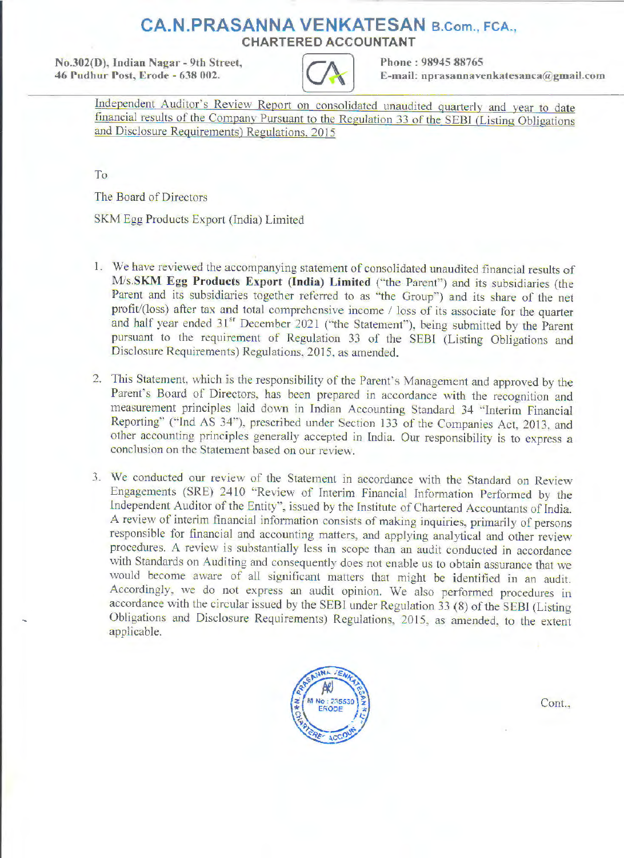## **CA.N.PRASANNA VENKATESAN B.Com., FCA., CHARTERED ACCOUNTANT**

**No.302(D), Indian Nagar - 9th Street. Phone : 98945 88765 46 rudhur Post. Erode - 6.18 002.** 



D), Indian Nagar - 9th Street,<br> **Independent Auditor**'s Review Report on consolidated unaudited quarterly and year to date financial results of the Company Pursuant to the Regulation 33 of the SEBI (Listing Obligations and Disclosure Requirements) Regulations, 2015

To

The Board of Directors

SKM Egg Products Export (India) Limited

- 1. We have reviewed the accompanying statement of consolidated unaudited financial results of **M/s.SKM Egg Products Export (India) Limited** ('"the Parent") and its subsidiaries (the Parent and its subsidiaries together referred to as "the Group") and its share of the net profit/(loss) after tax and total comprehensive income / loss of its associate for the quarter and half year ended 31<sup>sr</sup> December 2021 ("the Statement"), being submitted by the Parent pursuant to the requirement of Regulation 33 of the SEBI (Listing Obligations and Disclosure Requirements) Regulations. 2015. as amended.
- 2. This Statement, which is the responsibility of the Parent's Management and approved by the Parent's Board of Directors, has been prepared in accordance with the recognition and measurement principles laid down in Indian Accounting Standard 34 "Interim financial Reporting" ("Ind AS 34''), prescribed under Section 133 of the Companies Act, 2013, and other accounting principles generally accepted in India. Our responsibility is to express a conclusion on the Statement based on our review.
- 3. We conducted our review of the Statement in accordance with the Standard on Review Engagements (SRE) 2410 "Review of Interim Financial Information Performed by the Independent Auditor of the Entity'', issued by the Institute of Chartered Accountants of India. A review of interim financial information consists of making inquiries, primarily of persons responsible for financial and accounting matters, and applying analytical and other review procedures. A review is substantially less in scope than an audit conducted in accordance with Standards on Auditing and consequently does not enable us to obtain assurance that we would become aware of all significant matters that might be identified in an audit. Accordingly, we do not express an audit opinion. We also performed procedures in accordance with the circular issued by the SEBI under Regulation 33 (8) of the SEBI (Listing Obligations and Disclosure Requirements) Regulations, 2015, as amended, to the extent applicable.



Cont.,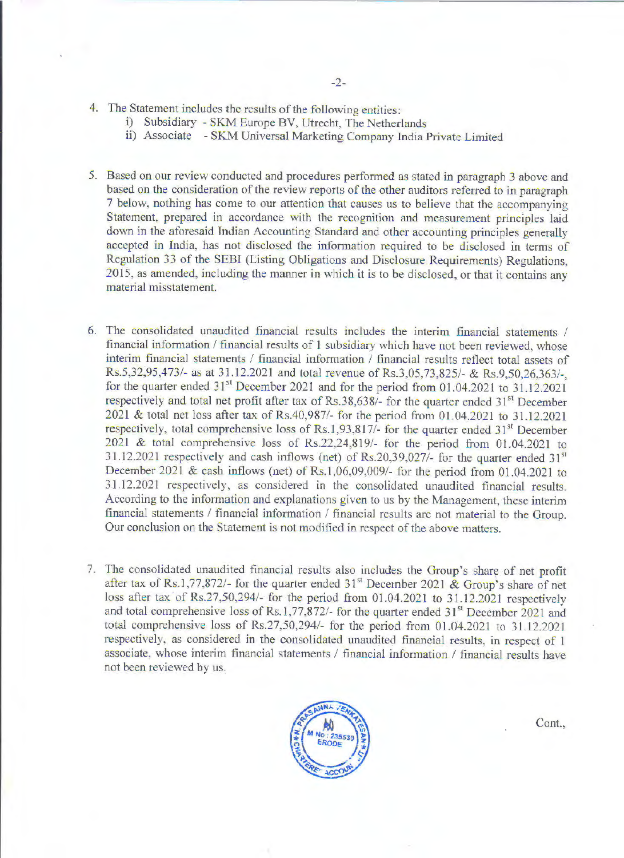- 4. The Statement includes the results of the following entities:
	- i) Subsidiary SKM Europe BV, Utrecht, The Netherlands
	- ii) Associate SKM Universal Marketing Company India Private Limited
- 5. Based on our review conducted and procedures performed as stated in paragraph 3 above and based on the consideration of the review reports of the other auditors referred to in paragraph 7 below, nothing has come to our attention that causes us to believe that the accompanying Statement, prepared in accordance with the recognition and measurement principles laid down in the aforesaid lndian Accounting Standard and other accounting principles generally accepted in India, has not disclosed the information required to be disclosed in terms of Regulation 33 of the SEBI (Listing Obligations and Disclosure Requirements) Regulations, 2015, as amended, including the manner in which it is to be disclosed, or that it contains any material misstatement.
- 6. The consolidated unaudited financial results includes the interim financial statements / financial infonnation / financial results of l subsidiary which have not been reviewed, whose interim financial statements / financial information / financial results reflect total assets of Rs.5,32,95,473/- as at 31.12.2021 and total revenue of Rs.3,05,73,825/- & Rs.9,50,26,363/-, for the quarter ended  $31<sup>st</sup>$  December 2021 and for the period from 01.04.2021 to 31.12.2021 respectively and total net profit after tax of Rs.38,638/- for the quarter ended 31<sup>st</sup> December  $2021$  & total net loss after tax of Rs.40,987/- for the period from 01.04.2021 to 31.12.2021 respectively, total comprehensive loss of Rs.1,93,817/- for the quarter ended  $31<sup>st</sup>$  December  $2021$  & total comprehensive loss of Rs.22,24,819/- for the period from 01.04.2021 to 31.12.2021 respectively and cash inflows (net) of  $Rs.20,39,027/-$  for the quarter ended  $31<sup>st</sup>$ December 2021 & cash inflows (net) of Rs.1,06,09,009/- for the period from 01.04.2021 to 31.12.2021 respectively, as considered in the consolidated unaudited financial results. According to the information and explanations given to us by the Management, these interim financial statements / financial information / financial results are not material to the Group. Our conclusion on the Statement is not modified in respect of the above matters.
- 7. The consolidated unaudited financial results also includes the Group's share of net profit after tax of Rs.1,77,872/- for the quarter ended  $31<sup>st</sup>$  December 2021 & Group's share of net loss after tax of Rs.27,50,294/- for the period from  $01.04.2021$  to  $31.12.2021$  respectively and total comprehensive loss of Rs.1,77,872/- for the quarter ended 31<sup>st</sup> December 2021 and total comprehensive loss of Rs.27,50,294/- for the period from 01.04.2021 to 31.12.2021 respectively, as considered in the consolidated unaudited financial results, in respect of 1 associate, whose interim financial statements / financial information / financial results have not been reviewed by us.



Cont.,